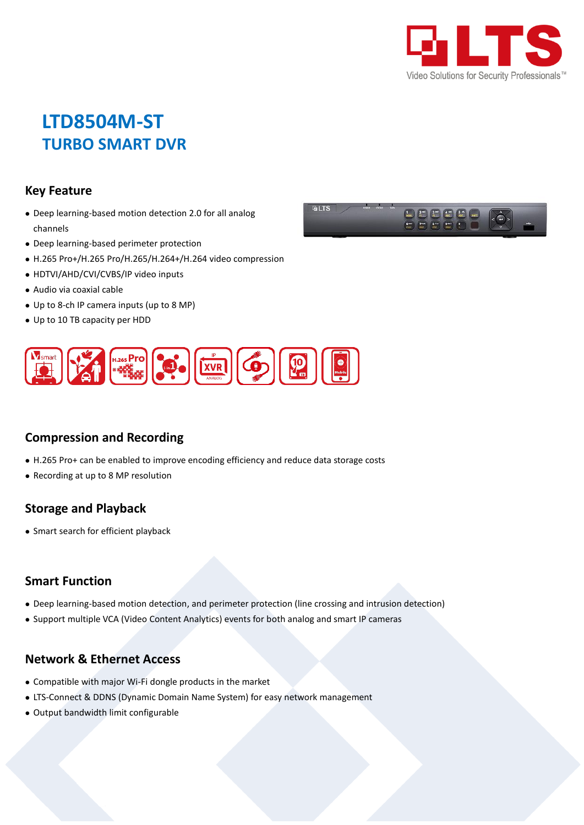

# **LTD8504M-ST TURBO SMART DVR**

#### **Key Feature**

- Deep learning-based motion detection 2.0 for all analog channels
- Deep learning-based perimeter protection
- H.265 Pro+/H.265 Pro/H.265/H.264+/H.264 video compression
- HDTVI/AHD/CVI/CVBS/IP video inputs
- Audio via coaxial cable
- Up to 8-ch IP camera inputs (up to 8 MP)
- Up to 10 TB capacity per HDD



### **Compression and Recording**

- H.265 Pro+ can be enabled to improve encoding efficiency and reduce data storage costs
- Recording at up to 8 MP resolution

#### **Storage and Playback**

• Smart search for efficient playback

#### **Smart Function**

- Deep learning-based motion detection, and perimeter protection (line crossing and intrusion detection)
- Support multiple VCA (Video Content Analytics) events for both analog and smart IP cameras

#### **Network & Ethernet Access**

- Compatible with major Wi-Fi dongle products in the market
- LTS-Connect & DDNS (Dynamic Domain Name System) for easy network management
- Output bandwidth limit configurable

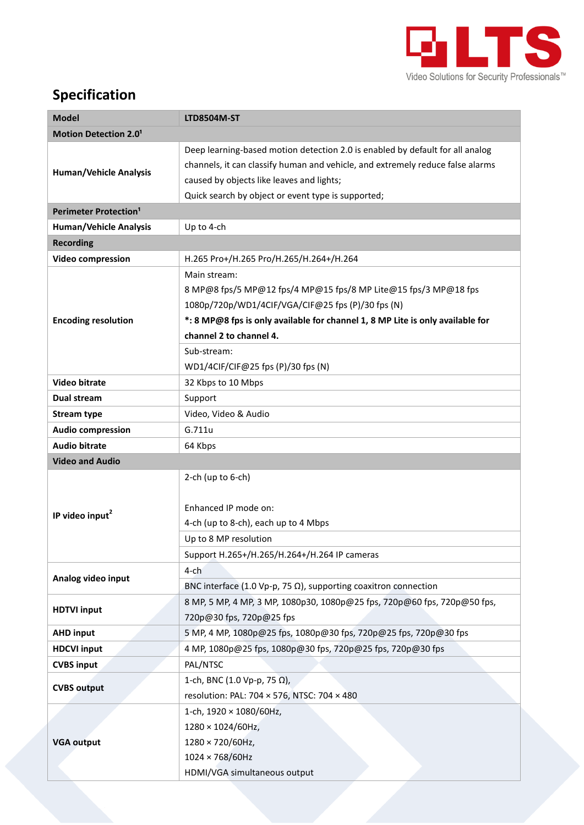

# **Specification**

| <b>Model</b>                            | <b>LTD8504M-ST</b>                                                             |  |  |  |  |
|-----------------------------------------|--------------------------------------------------------------------------------|--|--|--|--|
| <b>Motion Detection 2.01</b>            |                                                                                |  |  |  |  |
| <b>Human/Vehicle Analysis</b>           | Deep learning-based motion detection 2.0 is enabled by default for all analog  |  |  |  |  |
|                                         | channels, it can classify human and vehicle, and extremely reduce false alarms |  |  |  |  |
|                                         | caused by objects like leaves and lights;                                      |  |  |  |  |
|                                         | Quick search by object or event type is supported;                             |  |  |  |  |
| <b>Perimeter Protection<sup>1</sup></b> |                                                                                |  |  |  |  |
| <b>Human/Vehicle Analysis</b>           | Up to 4-ch                                                                     |  |  |  |  |
| <b>Recording</b>                        |                                                                                |  |  |  |  |
| <b>Video compression</b>                | H.265 Pro+/H.265 Pro/H.265/H.264+/H.264                                        |  |  |  |  |
|                                         | Main stream:                                                                   |  |  |  |  |
|                                         | 8 MP@8 fps/5 MP@12 fps/4 MP@15 fps/8 MP Lite@15 fps/3 MP@18 fps                |  |  |  |  |
|                                         | 1080p/720p/WD1/4CIF/VGA/CIF@25 fps (P)/30 fps (N)                              |  |  |  |  |
| <b>Encoding resolution</b>              | *: 8 MP@8 fps is only available for channel 1, 8 MP Lite is only available for |  |  |  |  |
|                                         | channel 2 to channel 4.                                                        |  |  |  |  |
|                                         | Sub-stream:                                                                    |  |  |  |  |
|                                         | WD1/4CIF/CIF@25 fps (P)/30 fps (N)                                             |  |  |  |  |
| <b>Video bitrate</b>                    | 32 Kbps to 10 Mbps                                                             |  |  |  |  |
| Dual stream                             | Support                                                                        |  |  |  |  |
| <b>Stream type</b>                      | Video, Video & Audio                                                           |  |  |  |  |
| <b>Audio compression</b>                | G.711u                                                                         |  |  |  |  |
| <b>Audio bitrate</b>                    | 64 Kbps                                                                        |  |  |  |  |
| <b>Video and Audio</b>                  |                                                                                |  |  |  |  |
|                                         | 2-ch (up to $6$ -ch)                                                           |  |  |  |  |
|                                         |                                                                                |  |  |  |  |
| IP video input <sup>2</sup>             | Enhanced IP mode on:                                                           |  |  |  |  |
|                                         | 4-ch (up to 8-ch), each up to 4 Mbps                                           |  |  |  |  |
|                                         | Up to 8 MP resolution                                                          |  |  |  |  |
|                                         | Support H.265+/H.265/H.264+/H.264 IP cameras                                   |  |  |  |  |
|                                         | $4$ -ch                                                                        |  |  |  |  |
| Analog video input                      | BNC interface (1.0 Vp-p, 75 $\Omega$ ), supporting coaxitron connection        |  |  |  |  |
| <b>HDTVI input</b>                      | 8 MP, 5 MP, 4 MP, 3 MP, 1080p30, 1080p@25 fps, 720p@60 fps, 720p@50 fps,       |  |  |  |  |
|                                         | 720p@30 fps, 720p@25 fps                                                       |  |  |  |  |
| <b>AHD input</b>                        | 5 MP, 4 MP, 1080p@25 fps, 1080p@30 fps, 720p@25 fps, 720p@30 fps               |  |  |  |  |
| <b>HDCVI input</b>                      | 4 MP, 1080p@25 fps, 1080p@30 fps, 720p@25 fps, 720p@30 fps                     |  |  |  |  |
| <b>CVBS input</b>                       | PAL/NTSC                                                                       |  |  |  |  |
| <b>CVBS output</b>                      | 1-ch, BNC (1.0 Vp-p, 75 Ω),                                                    |  |  |  |  |
|                                         | resolution: PAL: 704 × 576, NTSC: 704 × 480                                    |  |  |  |  |
|                                         | 1-ch, 1920 × 1080/60Hz,                                                        |  |  |  |  |
|                                         | $1280 \times 1024/60$ Hz,                                                      |  |  |  |  |
| <b>VGA output</b>                       | 1280 × 720/60Hz,                                                               |  |  |  |  |
|                                         | $1024 \times 768/60$ Hz                                                        |  |  |  |  |
|                                         | HDMI/VGA simultaneous output                                                   |  |  |  |  |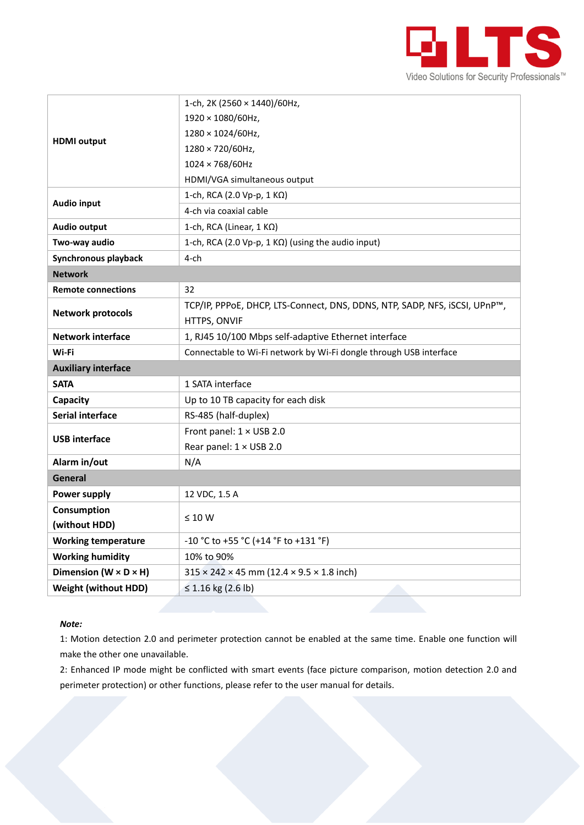

|                                     | 1-ch, 2K (2560 × 1440)/60Hz,                                               |  |  |  |
|-------------------------------------|----------------------------------------------------------------------------|--|--|--|
| <b>HDMI</b> output                  | 1920 × 1080/60Hz,                                                          |  |  |  |
|                                     | 1280 × 1024/60Hz,                                                          |  |  |  |
|                                     | 1280 × 720/60Hz,                                                           |  |  |  |
|                                     | 1024 × 768/60Hz                                                            |  |  |  |
|                                     | HDMI/VGA simultaneous output                                               |  |  |  |
| <b>Audio input</b>                  | 1-ch, RCA (2.0 Vp-p, 1 KΩ)                                                 |  |  |  |
|                                     | 4-ch via coaxial cable                                                     |  |  |  |
| <b>Audio output</b>                 | 1-ch, RCA (Linear, 1 KΩ)                                                   |  |  |  |
| Two-way audio                       | 1-ch, RCA (2.0 Vp-p, 1 KΩ) (using the audio input)                         |  |  |  |
| Synchronous playback                | $4$ -ch                                                                    |  |  |  |
| <b>Network</b>                      |                                                                            |  |  |  |
| <b>Remote connections</b>           | 32                                                                         |  |  |  |
|                                     | TCP/IP, PPPoE, DHCP, LTS-Connect, DNS, DDNS, NTP, SADP, NFS, iSCSI, UPnP™, |  |  |  |
| <b>Network protocols</b>            | HTTPS, ONVIF                                                               |  |  |  |
| <b>Network interface</b>            | 1, RJ45 10/100 Mbps self-adaptive Ethernet interface                       |  |  |  |
|                                     |                                                                            |  |  |  |
| Wi-Fi                               | Connectable to Wi-Fi network by Wi-Fi dongle through USB interface         |  |  |  |
| <b>Auxiliary interface</b>          |                                                                            |  |  |  |
| <b>SATA</b>                         | 1 SATA interface                                                           |  |  |  |
| Capacity                            | Up to 10 TB capacity for each disk                                         |  |  |  |
| <b>Serial interface</b>             | RS-485 (half-duplex)                                                       |  |  |  |
|                                     | Front panel: 1 × USB 2.0                                                   |  |  |  |
| <b>USB interface</b>                | Rear panel: 1 × USB 2.0                                                    |  |  |  |
| Alarm in/out                        | N/A                                                                        |  |  |  |
| <b>General</b>                      |                                                                            |  |  |  |
| Power supply                        | 12 VDC, 1.5 A                                                              |  |  |  |
| Consumption                         |                                                                            |  |  |  |
| (without HDD)                       | $\leq 10 W$                                                                |  |  |  |
| <b>Working temperature</b>          | -10 °C to +55 °C (+14 °F to +131 °F)                                       |  |  |  |
| <b>Working humidity</b>             | 10% to 90%                                                                 |  |  |  |
| Dimension ( $W \times D \times H$ ) | $315 \times 242 \times 45$ mm (12.4 $\times$ 9.5 $\times$ 1.8 inch)        |  |  |  |

#### *Note:*

1: Motion detection 2.0 and perimeter protection cannot be enabled at the same time. Enable one function will make the other one unavailable.

2: Enhanced IP mode might be conflicted with smart events (face picture comparison, motion detection 2.0 and perimeter protection) or other functions, please refer to the user manual for details.